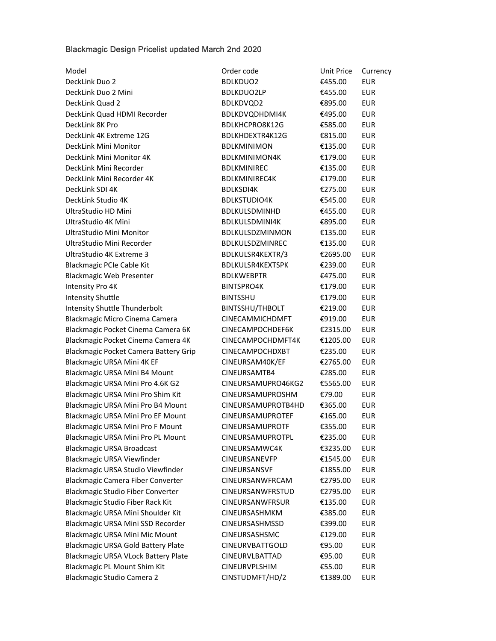## Blackmagic Design Pricelist updated March 2nd 2020

| Model                                      | Order code              | Unit Price | Currency   |
|--------------------------------------------|-------------------------|------------|------------|
| DeckLink Duo 2                             | <b>BDLKDUO2</b>         | €455.00    | <b>EUR</b> |
| DeckLink Duo 2 Mini                        | <b>BDLKDUO2LP</b>       | €455.00    | <b>EUR</b> |
| DeckLink Quad 2                            | BDLKDVQD2               | €895.00    | <b>EUR</b> |
| DeckLink Quad HDMI Recorder                | BDLKDVQDHDMI4K          | €495.00    | <b>EUR</b> |
| DeckLink 8K Pro                            | BDLKHCPRO8K12G          | €585.00    | <b>EUR</b> |
| DeckLink 4K Extreme 12G                    | BDLKHDEXTR4K12G         | €815.00    | <b>EUR</b> |
| DeckLink Mini Monitor                      | <b>BDLKMINIMON</b>      | €135.00    | <b>EUR</b> |
| DeckLink Mini Monitor 4K                   | <b>BDLKMINIMON4K</b>    | €179.00    | <b>EUR</b> |
| DeckLink Mini Recorder                     | <b>BDLKMINIREC</b>      | €135.00    | <b>EUR</b> |
| DeckLink Mini Recorder 4K                  | <b>BDLKMINIREC4K</b>    | €179.00    | <b>EUR</b> |
| DeckLink SDI 4K                            | <b>BDLKSDI4K</b>        | €275.00    | <b>EUR</b> |
| DeckLink Studio 4K                         | <b>BDLKSTUDIO4K</b>     | €545.00    | <b>EUR</b> |
| UltraStudio HD Mini                        | BDLKULSDMINHD           | €455.00    | <b>EUR</b> |
| UltraStudio 4K Mini                        | BDLKULSDMINI4K          | €895.00    | <b>EUR</b> |
| UltraStudio Mini Monitor                   | BDLKULSDZMINMON         | €135.00    | <b>EUR</b> |
| UltraStudio Mini Recorder                  | BDLKULSDZMINREC         | €135.00    | <b>EUR</b> |
| UltraStudio 4K Extreme 3                   | BDLKULSR4KEXTR/3        | €2695.00   | <b>EUR</b> |
| Blackmagic PCIe Cable Kit                  | BDLKULSR4KEXTSPK        | €239.00    | <b>EUR</b> |
| <b>Blackmagic Web Presenter</b>            | <b>BDLKWEBPTR</b>       | €475.00    | <b>EUR</b> |
| Intensity Pro 4K                           | <b>BINTSPRO4K</b>       | €179.00    | <b>EUR</b> |
| <b>Intensity Shuttle</b>                   | <b>BINTSSHU</b>         | €179.00    | <b>EUR</b> |
| Intensity Shuttle Thunderbolt              | BINTSSHU/THBOLT         | €219.00    | <b>EUR</b> |
| Blackmagic Micro Cinema Camera             | CINECAMMICHDMFT         | €919.00    | <b>EUR</b> |
| Blackmagic Pocket Cinema Camera 6K         | CINECAMPOCHDEF6K        | €2315.00   | <b>EUR</b> |
| Blackmagic Pocket Cinema Camera 4K         | CINECAMPOCHDMFT4K       | €1205.00   | <b>EUR</b> |
| Blackmagic Pocket Camera Battery Grip      | CINECAMPOCHDXBT         | €235.00    | <b>EUR</b> |
| Blackmagic URSA Mini 4K EF                 | CINEURSAM40K/EF         | €2765.00   | <b>EUR</b> |
| Blackmagic URSA Mini B4 Mount              | CINEURSAMTB4            | €285.00    | <b>EUR</b> |
| Blackmagic URSA Mini Pro 4.6K G2           | CINEURSAMUPRO46KG2      | €5565.00   | <b>EUR</b> |
| Blackmagic URSA Mini Pro Shim Kit          | <b>CINEURSAMUPROSHM</b> | €79.00     | <b>EUR</b> |
| Blackmagic URSA Mini Pro B4 Mount          | CINEURSAMUPROTB4HD      | €365.00    | <b>EUR</b> |
| Blackmagic URSA Mini Pro EF Mount          | CINEURSAMUPROTEF        | €165.00    | <b>EUR</b> |
| <b>Blackmagic URSA Mini Pro F Mount</b>    | <b>CINEURSAMUPROTF</b>  | €355.00    | <b>EUR</b> |
| Blackmagic URSA Mini Pro PL Mount          | CINEURSAMUPROTPL        | €235.00    | <b>EUR</b> |
| <b>Blackmagic URSA Broadcast</b>           | CINEURSAMWC4K           | €3235.00   | <b>EUR</b> |
| Blackmagic URSA Viewfinder                 | CINEURSANEVFP           | €1545.00   | <b>EUR</b> |
| Blackmagic URSA Studio Viewfinder          | CINEURSANSVF            | €1855.00   | <b>EUR</b> |
| <b>Blackmagic Camera Fiber Converter</b>   | CINEURSANWFRCAM         | €2795.00   | <b>EUR</b> |
| <b>Blackmagic Studio Fiber Converter</b>   | CINEURSANWFRSTUD        | €2795.00   | <b>EUR</b> |
| <b>Blackmagic Studio Fiber Rack Kit</b>    | CINEURSANWFRSUR         | €135.00    | <b>EUR</b> |
| Blackmagic URSA Mini Shoulder Kit          | CINEURSASHMKM           | €385.00    | <b>EUR</b> |
| Blackmagic URSA Mini SSD Recorder          | <b>CINEURSASHMSSD</b>   | €399.00    | <b>EUR</b> |
| <b>Blackmagic URSA Mini Mic Mount</b>      | CINEURSASHSMC           | €129.00    | <b>EUR</b> |
| <b>Blackmagic URSA Gold Battery Plate</b>  | CINEURVBATTGOLD         | €95.00     | <b>EUR</b> |
| <b>Blackmagic URSA VLock Battery Plate</b> | CINEURVLBATTAD          | €95.00     | <b>EUR</b> |
| Blackmagic PL Mount Shim Kit               | CINEURVPLSHIM           | €55.00     | <b>EUR</b> |
| Blackmagic Studio Camera 2                 | CINSTUDMFT/HD/2         | €1389.00   | <b>EUR</b> |
|                                            |                         |            |            |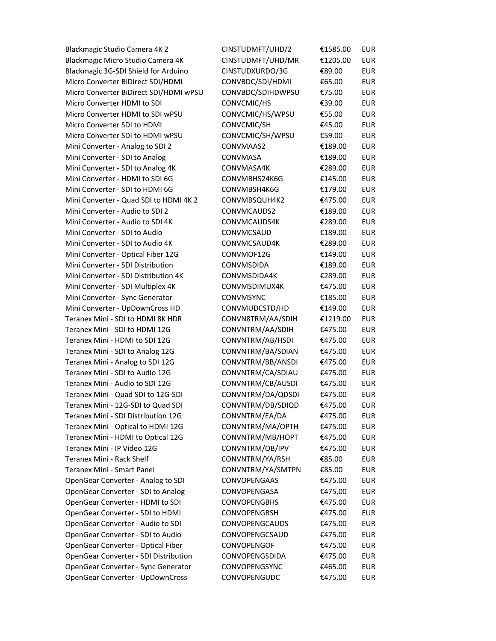Blackmagic Studio Camera 4K 2 CINSTUDE Blackmagic Micro Studio Camera 4K CINSTUDE Blackmagic 3G-SDI Shield for Arduino C Micro Converter BiDirect SDI/HDMI 6 Micro Converter BiDirect SDI/HDMI wPSU C Micro Converter HDMI to SDI 63.000 CONVERTED 63.00 EURRAHIM CONVERTED 63.00 EURRAHIM CONVERTED 63.00 EURRAHIM C Micro Converter HDMI to SDI wPSU 65.00 Micro Converter SDI to HDMI 64.000 CONVERTS Micro Converter SDI to HDMI wPSU <a> Mini Converter - Analog to SDI 2 CONVERTED CONVERTED CONVERTIBLE Mini Converter - SDI to Analog CONVERTED CONVERTED CONVERTED CONVERTIBLE Mini Converter - SDI to Analog 4K GONVERTED Mini Converter - HDMI to SDI 6G Mini Converter - SDI to HDMI 6G Mini Converter - Quad SDI to HDMI 4K 2 Mini Converter - Audio to SDI 2 CONVERTED CONVERTED CONVERTIBLE Mini Converter - Audio to SDI 4K GON Mini Converter - SDI to Audio **EURE 6189.00** C Mini Converter - SDI to Audio 4K GONVERTED Mini Converter - Optical Fiber 12G 614.00 Mini Converter - SDI Distribution 618.000 Mini Converter - SDI Distribution 4K GONVERTED Mini Converter - SDI Multiplex 4K <sup>(175</sup>) Mini Converter - Sync Generator **CONVERTS** Mini Converter - UpDownCross HD 61 Teranex Mini - SDI to HDMI 8K HDR Teranex Mini - SDI to HDMI 12G Teranex Mini - HDMI to SDI 12G Teranex Mini - SDI to Analog 12G CONVICT Teranex Mini - Analog to SDI 12G Teranex Mini - SDI to Audio 12G Teranex Mini - Audio to SDI 12G Teranex Mini - Quad SDI to 12G-SDI 647 Teranex Mini - 12G-SDI to Quad SDI Teranex Mini - SDI Distribution 12G Teranex Mini - Optical to HDMI 12G Teranex Mini - HDMI to Optical 12G Teranex Mini - IP Video 12G Teranex Mini - Rack Shelf **CONVINTRM** Teranex Mini - Smart Panel CONVINTRIM EUROPE OpenGear Converter - Analog to SDI CONVORTED OpenGear Converter - SDI to Analog CONVORTED OpenGear Converter - HDMI to SDI 6776.000 OpenGear Converter - SDI to HDMI 647 OpenGear Converter - Audio to SDI CONVORTED OpenGear Converter - SDI to Audio 6475.00 OpenGear Converter - Optical Fiber 6476.00 OpenGear Converter - SDI Distribution ( OpenGear Converter - Sync Generator **CONVOL** OpenGear Converter - UpDownCross CONVOPENGUDC €475.00 EUR

| €1585.00 | <b>EUR</b>                                                                                                                                                                                                                                                                                                                                                                                                                   |
|----------|------------------------------------------------------------------------------------------------------------------------------------------------------------------------------------------------------------------------------------------------------------------------------------------------------------------------------------------------------------------------------------------------------------------------------|
| €1205.00 | <b>EUR</b>                                                                                                                                                                                                                                                                                                                                                                                                                   |
| €89.00   | <b>EUR</b>                                                                                                                                                                                                                                                                                                                                                                                                                   |
| €65.00   | <b>EUR</b>                                                                                                                                                                                                                                                                                                                                                                                                                   |
| €75.00   | <b>EUR</b>                                                                                                                                                                                                                                                                                                                                                                                                                   |
| €39.00   | <b>EUR</b>                                                                                                                                                                                                                                                                                                                                                                                                                   |
|          | <b>EUR</b>                                                                                                                                                                                                                                                                                                                                                                                                                   |
| €45.00   | <b>EUR</b>                                                                                                                                                                                                                                                                                                                                                                                                                   |
| €59.00   | <b>EUR</b>                                                                                                                                                                                                                                                                                                                                                                                                                   |
| €189.00  | <b>EUR</b>                                                                                                                                                                                                                                                                                                                                                                                                                   |
| €189.00  | <b>EUR</b>                                                                                                                                                                                                                                                                                                                                                                                                                   |
| €289.00  | <b>EUR</b>                                                                                                                                                                                                                                                                                                                                                                                                                   |
|          | <b>EUR</b>                                                                                                                                                                                                                                                                                                                                                                                                                   |
|          | <b>EUR</b>                                                                                                                                                                                                                                                                                                                                                                                                                   |
|          | <b>EUR</b>                                                                                                                                                                                                                                                                                                                                                                                                                   |
|          | <b>EUR</b>                                                                                                                                                                                                                                                                                                                                                                                                                   |
|          | <b>EUR</b>                                                                                                                                                                                                                                                                                                                                                                                                                   |
|          | <b>EUR</b>                                                                                                                                                                                                                                                                                                                                                                                                                   |
|          | <b>EUR</b>                                                                                                                                                                                                                                                                                                                                                                                                                   |
|          | <b>EUR</b>                                                                                                                                                                                                                                                                                                                                                                                                                   |
|          | <b>EUR</b>                                                                                                                                                                                                                                                                                                                                                                                                                   |
|          | <b>EUR</b>                                                                                                                                                                                                                                                                                                                                                                                                                   |
|          | <b>EUR</b>                                                                                                                                                                                                                                                                                                                                                                                                                   |
|          | <b>EUR</b>                                                                                                                                                                                                                                                                                                                                                                                                                   |
|          | <b>EUR</b>                                                                                                                                                                                                                                                                                                                                                                                                                   |
|          | <b>EUR</b>                                                                                                                                                                                                                                                                                                                                                                                                                   |
|          | <b>EUR</b>                                                                                                                                                                                                                                                                                                                                                                                                                   |
|          | <b>EUR</b>                                                                                                                                                                                                                                                                                                                                                                                                                   |
|          | <b>EUR</b>                                                                                                                                                                                                                                                                                                                                                                                                                   |
|          | <b>EUR</b>                                                                                                                                                                                                                                                                                                                                                                                                                   |
|          | <b>EUR</b>                                                                                                                                                                                                                                                                                                                                                                                                                   |
|          | <b>EUR</b>                                                                                                                                                                                                                                                                                                                                                                                                                   |
|          | <b>EUR</b>                                                                                                                                                                                                                                                                                                                                                                                                                   |
|          | <b>EUR</b>                                                                                                                                                                                                                                                                                                                                                                                                                   |
|          | <b>EUR</b>                                                                                                                                                                                                                                                                                                                                                                                                                   |
|          | <b>EUR</b>                                                                                                                                                                                                                                                                                                                                                                                                                   |
|          | <b>EUR</b>                                                                                                                                                                                                                                                                                                                                                                                                                   |
|          | <b>EUR</b>                                                                                                                                                                                                                                                                                                                                                                                                                   |
|          | <b>EUR</b>                                                                                                                                                                                                                                                                                                                                                                                                                   |
|          | <b>EUR</b>                                                                                                                                                                                                                                                                                                                                                                                                                   |
|          | <b>EUR</b>                                                                                                                                                                                                                                                                                                                                                                                                                   |
|          | <b>EUR</b>                                                                                                                                                                                                                                                                                                                                                                                                                   |
|          | <b>EUR</b>                                                                                                                                                                                                                                                                                                                                                                                                                   |
|          | <b>EUR</b>                                                                                                                                                                                                                                                                                                                                                                                                                   |
|          |                                                                                                                                                                                                                                                                                                                                                                                                                              |
|          | EUR<br><b>EUR</b>                                                                                                                                                                                                                                                                                                                                                                                                            |
|          | <b>EUR</b>                                                                                                                                                                                                                                                                                                                                                                                                                   |
|          | <b>EUR</b>                                                                                                                                                                                                                                                                                                                                                                                                                   |
|          | <b>EUR</b>                                                                                                                                                                                                                                                                                                                                                                                                                   |
| FATE OO  | EL ID.                                                                                                                                                                                                                                                                                                                                                                                                                       |
|          | €55.00<br>€145.00<br>€179.00<br>€475.00<br>€189.00<br>€289.00<br>€189.00<br>€289.00<br>€149.00<br>€189.00<br>€289.00<br>€475.00<br>€185.00<br>€149.00<br>€1219.00<br>€475.00<br>€475.00<br>€475.00<br>€475.00<br>€475.00<br>€475.00<br>€475.00<br>€475.00<br>€475.00<br>€475.00<br>€475.00<br>€475.00<br>€85.00<br>€85.00<br>€475.00<br>€475.00<br>€475.00<br>€475.00<br>€475.00<br>€475.00<br>€475.00<br>€475.00<br>€465.00 |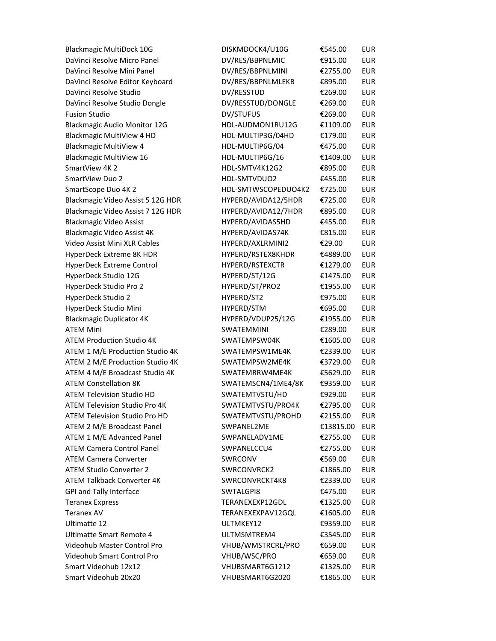Blackmagic MultiDock 10G **Europe EUROCK** DaVinci Resolve Micro Panel **DV** DaVinci Resolve Mini Panel **DI** DaVinci Resolve Editor Keyboard **D** DaVinci Resolve Studio entrance de DV DaVinci Resolve Studio Dongle **Europe EU** Fusion Studio and DV/STUFUS EUR DV Blackmagic Audio Monitor 12G **H** Blackmagic MultiView 4 HD **H** Blackmagic MultiView 4 **H** Blackmagic MultiView 16 **H** SmartView 4K 2 HD-SMTV4K12 SmartView Duo 2 **H** SmartScope Duo 4K 2 **HDL-SMTWSCOPEDUO4K2** Blackmagic Video Assist 5 12G HDR FT Blackmagic Video Assist 7 12G HDR H Blackmagic Video Assist FH Blackmagic Video Assist 4K **External AVIDAS** Video Assist Mini XLR Cables H HyperDeck Extreme 8K HDR **EXABLE EXECUTE:** H HyperDeck Extreme Control FI HyperDeck Studio 12G **BILG EXAMPLE ENGINEERS** ENGINEERS HyperDeck Studio Pro 2 Fig. 2 EUR HyperDeck Studio 2 HyperDeck Studio 2 HyperDeck Studio Mini File Research Blackmagic Duplicator 4K H ATEM Mini SWATEM Mini SWATEM 6 ATEM Production Studio 4K 6160 EUR ATEM 1 M/E Production Studio 4K 633 ATEM 2 M/E Production Studio 4K 637 ATEM 4 M/E Broadcast Studio 4K 63 ATEM Constellation 8K 69359.00 EUR ATEM Television Studio HD 692.00 ATEM Television Studio Pro 4K 62795.00 ATEM Television Studio Pro HD 615 ATEM 2 M/E Broadcast Panel 613 ATEM 1 M/E Advanced Panel 61 ATEM Camera Control Panel 61 ATEM Camera Converter SWRCONG EURRAL ATEM Studio Converter 2 61865.00 ATEM Talkback Converter 4K 633 GPI and Tally Interface SWTALGPI8 6475.00 EUR Teranex Express TERANEXEXPTE Teranex AV TERANEXEXPAV Ultimatte 12 and 12 EUR MK EUR MK Ultimatte Smart Remote 4 **bitter ULTMS** Videohub Master Control Pro **Europe EUR** Videohub Smart Control Pro **Europe EUR** Smart Videohub 12x12 **V** Smart Videohub 20x20 VHUBSMART6G2020 €1865.00

| ISKMDOCK4/U10G      | €545.00   | <b>EUR</b> |
|---------------------|-----------|------------|
| V/RES/BBPNLMIC      | €915.00   | <b>EUR</b> |
| V/RES/BBPNLMINI     | €2755.00  | <b>EUR</b> |
| V/RES/BBPNLMLEKB    | €895.00   | <b>EUR</b> |
| V/RESSTUD           | €269.00   | <b>EUR</b> |
| V/RESSTUD/DONGLE    | €269.00   | <b>EUR</b> |
| V/STUFUS            | €269.00   | <b>EUR</b> |
| IDL-AUDMON1RU12G    | €1109.00  | <b>EUR</b> |
| IDL-MULTIP3G/04HD   | €179.00   | <b>EUR</b> |
| IDL-MULTIP6G/04     | €475.00   | <b>EUR</b> |
| IDL-MULTIP6G/16     | €1409.00  | <b>EUR</b> |
| IDL-SMTV4K12G2      | €895.00   | <b>EUR</b> |
| IDL-SMTVDUO2        | €455.00   | <b>EUR</b> |
| IDL-SMTWSCOPEDUO4K2 | €725.00   | <b>EUR</b> |
| IYPERD/AVIDA12/5HDR | €725.00   | <b>EUR</b> |
| IYPERD/AVIDA12/7HDR | €895.00   | <b>EUR</b> |
| IYPERD/AVIDAS5HD    | €455.00   | <b>EUR</b> |
| IYPERD/AVIDAS74K    | €815.00   | <b>EUR</b> |
| IYPERD/AXLRMINI2    | €29.00    | <b>EUR</b> |
| IYPERD/RSTEX8KHDR   | €4889.00  | <b>EUR</b> |
| IYPERD/RSTEXCTR     | €1279.00  | <b>EUR</b> |
| IYPERD/ST/12G       | €1475.00  | <b>EUR</b> |
| IYPERD/ST/PRO2      | €1955.00  | <b>EUR</b> |
| IYPERD/ST2          | €975.00   | <b>EUR</b> |
| IYPERD/STM          | €695.00   | <b>EUR</b> |
| IYPERD/VDUP25/12G   | €1955.00  | <b>EUR</b> |
| WATEMMINI           | €289.00   | <b>EUR</b> |
| WATEMPSW04K         | €1605.00  | <b>EUR</b> |
| WATEMPSW1ME4K       | €2339.00  | <b>EUR</b> |
| WATEMPSW2ME4K       | €3729.00  | <b>EUR</b> |
| WATEMRRW4ME4K       | €5629.00  | <b>EUR</b> |
| WATEMSCN4/1ME4/8K   | €9359.00  | <b>EUR</b> |
| WATEMTVSTU/HD       | €929.00   | <b>EUR</b> |
| WATEMTVSTU/PRO4K    | €2795.00  | <b>EUR</b> |
| WATEMTVSTU/PROHD    | €2155.00  | <b>EUR</b> |
| <b>WPANEL2ME</b>    | €13815.00 | <b>EUR</b> |
| WPANELADV1ME        | €2755.00  | <b>EUR</b> |
| WPANELCCU4          | €2755.00  | <b>EUR</b> |
| WRCONV              | €569.00   | <b>EUR</b> |
| <b>WRCONVRCK2</b>   | €1865.00  | <b>EUR</b> |
| WRCONVRCKT4K8       | €2339.00  | <b>EUR</b> |
| <b>WTALGPI8</b>     | €475.00   | <b>EUR</b> |
| ERANEXEXP12GDL      | €1325.00  | <b>EUR</b> |
| ERANEXEXPAV12GQL    | €1605.00  | <b>EUR</b> |
| JLTMKEY12           | €9359.00  | <b>EUR</b> |
| JLTMSMTREM4         | €3545.00  | <b>EUR</b> |
| HUB/WMSTRCRL/PRO    | €659.00   | <b>EUR</b> |
| HUB/WSC/PRO         | €659.00   | <b>EUR</b> |
| HUBSMART6G1212      | €1325.00  | <b>EUR</b> |
| HURSMART6G2020      | £1865.00  | <b>FUR</b> |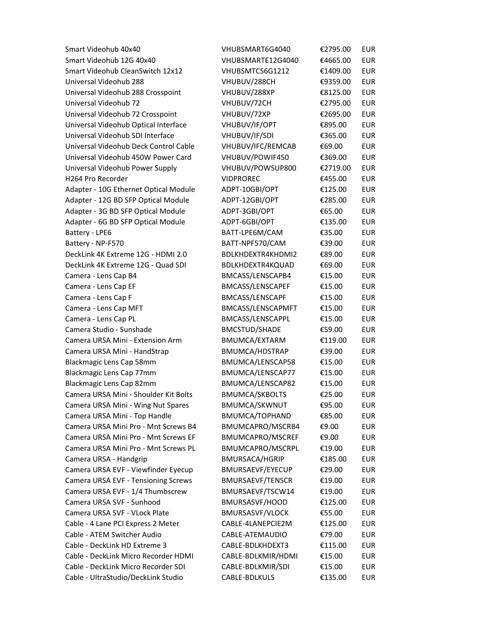Smart Videohub 40x40 Smart Videohub 12G 40x40 Smart Videohub CleanSwitch 12x12 Universal Videohub 288 Universal Videohub 288 Crosspoint Universal Videohub 72 Universal Videohub 72 Crosspoint Universal Videohub Optical Interface Universal Videohub SDI Interface Universal Videohub Deck Control Cable Universal Videohub 450W Power Card Universal Videohub Power Supply H264 Pro Recorder Adapter - 10G Ethernet Optical Module Adapter - 12G BD SFP Optical Module Adapter - 3G BD SFP Optical Module Adapter - 6G BD SFP Optical Module Battery - LPE6 Battery - NP-F570 DeckLink 4K Extreme 12G - HDMI 2.0 DeckLink 4K Extreme 12G - Quad SDI Camera - Lens Cap B4 Camera - Lens Cap EF Camera - Lens Cap F Camera - Lens Cap MFT Camera - Lens Cap PL Camera Studio - Sunshade Camera URSA Mini - Extension Arm Camera URSA Mini - HandStrap Blackmagic Lens Cap 58mm Blackmagic Lens Cap 77mm Blackmagic Lens Cap 82mm Camera URSA Mini - Shoulder Kit Bolts Camera URSA Mini - Wing Nut Spares Camera URSA Mini - Top Handle Camera URSA Mini Pro - Mnt Screws B4 Camera URSA Mini Pro - Mnt Screws EF Camera URSA Mini Pro - Mnt Screws PL Camera URSA - Handgrip Camera URSA EVF - Viewfinder Eyecup Camera URSA EVF - Tensioning Screws Camera URSA EVF - 1/4 Thumbscrew Camera URSA SVF - Sunhood Camera URSA SVF - VLock Plate Cable - 4 Lane PCI Express 2 Meter Cable - ATEM Switcher Audio Cable - DeckLink HD Extreme 3 Cable - DeckLink Micro Recorder HDMI Cable - DeckLink Micro Recorder SDI Cable - UltraStudio/DeckLink Studio CABLE-BDLKULS €135.00 EUR

| VHUBSMART6G4040         | €2795.00 | <b>EUR</b>  |
|-------------------------|----------|-------------|
| VHUBSMARTE12G4040       | €4665.00 | <b>EUR</b>  |
| VHUBSMTCS6G1212         | €1409.00 | <b>EUR</b>  |
| VHUBUV/288CH            | €9359.00 | <b>EUR</b>  |
| VHUBUV/288XP            | €8125.00 | <b>EUR</b>  |
| VHUBUV/72CH             | €2795.00 | <b>EUR</b>  |
| VHUBUV/72XP             | €2695.00 | <b>EUR</b>  |
| VHUBUV/IF/OPT           | €895.00  | <b>EUR</b>  |
| VHUBUV/IF/SDI           | €365.00  | <b>EUR</b>  |
| VHUBUV/IFC/REMCAB       | €69.00   | <b>EUR</b>  |
| VHUBUV/POWIF450         | €369.00  | <b>EUR</b>  |
| VHUBUV/POWSUP800        | €2719.00 | <b>EUR</b>  |
| <b>VIDPROREC</b>        | €455.00  | <b>EUR</b>  |
| ADPT-10GBI/OPT          | €125.00  | <b>EUR</b>  |
| ADPT-12GBI/OPT          | €285.00  | <b>EUR</b>  |
| ADPT-3GBI/OPT           | €65.00   | <b>EUR</b>  |
| ADPT-6GBI/OPT           | €135.00  | <b>EUR</b>  |
| BATT-LPE6M/CAM          | €35.00   | <b>EUR</b>  |
| BATT-NPF570/CAM         | €39.00   | <b>EUR</b>  |
| BDLKHDEXTR4KHDMI2       | €89.00   | <b>EUR</b>  |
| BDLKHDEXTR4KQUAD        | €69.00   | <b>EUR</b>  |
| BMCASS/LENSCAPB4        | €15.00   | <b>EUR</b>  |
| <b>BMCASS/LENSCAPEF</b> | €15.00   | <b>EUR</b>  |
| <b>BMCASS/LENSCAPF</b>  | €15.00   | <b>EUR</b>  |
| BMCASS/LENSCAPMFT       | €15.00   | <b>EUR</b>  |
| BMCASS/LENSCAPPL        | €15.00   | <b>EUR</b>  |
| <b>BMCSTUD/SHADE</b>    | €59.00   | <b>EUR</b>  |
| <b>BMUMCA/EXTARM</b>    | €119.00  | <b>EUR</b>  |
| BMUMCA/HDSTRAP          | €39.00   | <b>EUR</b>  |
| BMUMCA/LENSCAP58        | €15.00   | <b>EUR</b>  |
| BMUMCA/LENSCAP77        | €15.00   | <b>EUR</b>  |
| BMUMCA/LENSCAP82        | €15.00   | <b>EUR</b>  |
| <b>BMUMCA/SKBOLTS</b>   | €25.00   | <b>EUR</b>  |
| BMUMCA/SKWNUT           | €95.00   | <b>FUR</b>  |
| BMUMCA/TOPHAND          | €85.00   | <b>EUR</b>  |
| BMUMCAPRO/MSCRB4        | €9.00    | EUR         |
| <b>BMUMCAPRO/MSCREF</b> | €9.00    | EUR         |
| <b>BMUMCAPRO/MSCRPL</b> | €19.00   | EUR         |
| <b>BMURSACA/HGRIP</b>   | €185.00  | EUR         |
| <b>BMURSAEVF/EYECUP</b> | €29.00   | <b>EUR</b>  |
| <b>BMURSAEVF/TENSCR</b> | €19.00   | <b>EUR</b>  |
| BMURSAEVF/TSCW14        | €19.00   | EUR         |
| BMURSASVF/HOOD          | €125.00  | EUR         |
| <b>BMURSASVF/VLOCK</b>  | €55.00   | <b>EUR</b>  |
| CABLE-4LANEPCIE2M       | €125.00  | EUR         |
| CABLE-ATEMAUDIO         | €79.00   | EUR         |
| CABLE-BDLKHDEXT3        | €115.00  | EUR         |
| CABLE-BDLKMIR/HDMI      | €15.00   | <b>EUR</b>  |
| CABLE-BDLKMIR/SDI       | €15.00   | <b>EUR</b>  |
| $CADIF$ $DDIVIIIC$      | 12500    | <b>CLID</b> |